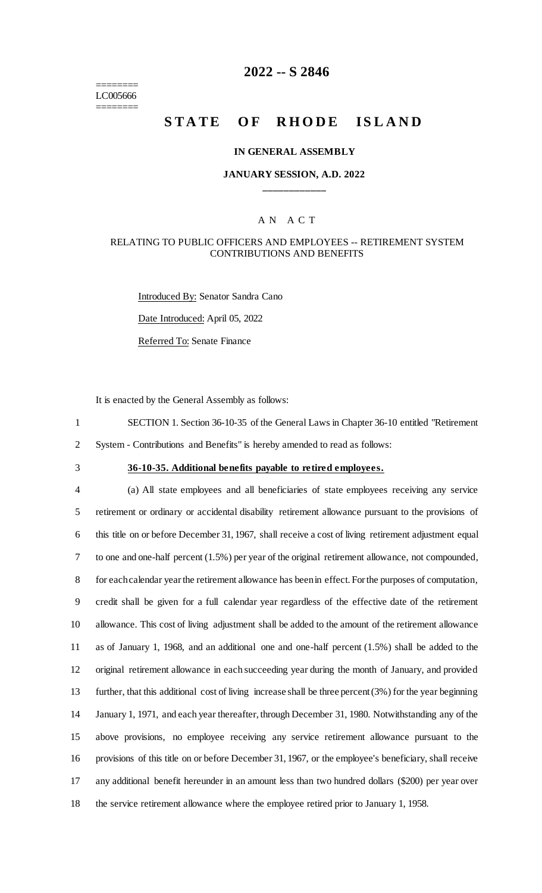======== LC005666 ========

## **2022 -- S 2846**

# **STATE OF RHODE ISLAND**

#### **IN GENERAL ASSEMBLY**

#### **JANUARY SESSION, A.D. 2022 \_\_\_\_\_\_\_\_\_\_\_\_**

#### A N A C T

#### RELATING TO PUBLIC OFFICERS AND EMPLOYEES -- RETIREMENT SYSTEM CONTRIBUTIONS AND BENEFITS

Introduced By: Senator Sandra Cano Date Introduced: April 05, 2022 Referred To: Senate Finance

It is enacted by the General Assembly as follows:

1 SECTION 1. Section 36-10-35 of the General Laws in Chapter 36-10 entitled "Retirement

2 System - Contributions and Benefits" is hereby amended to read as follows:

## 3 **36-10-35. Additional benefits payable to retired employees.**

 (a) All state employees and all beneficiaries of state employees receiving any service retirement or ordinary or accidental disability retirement allowance pursuant to the provisions of this title on or before December 31, 1967, shall receive a cost of living retirement adjustment equal to one and one-half percent (1.5%) per year of the original retirement allowance, not compounded, for each calendar year the retirement allowance has been in effect. For the purposes of computation, credit shall be given for a full calendar year regardless of the effective date of the retirement allowance. This cost of living adjustment shall be added to the amount of the retirement allowance as of January 1, 1968, and an additional one and one-half percent (1.5%) shall be added to the original retirement allowance in each succeeding year during the month of January, and provided further, that this additional cost of living increase shall be three percent (3%) for the year beginning January 1, 1971, and each year thereafter, through December 31, 1980. Notwithstanding any of the above provisions, no employee receiving any service retirement allowance pursuant to the provisions of this title on or before December 31, 1967, or the employee's beneficiary, shall receive any additional benefit hereunder in an amount less than two hundred dollars (\$200) per year over the service retirement allowance where the employee retired prior to January 1, 1958.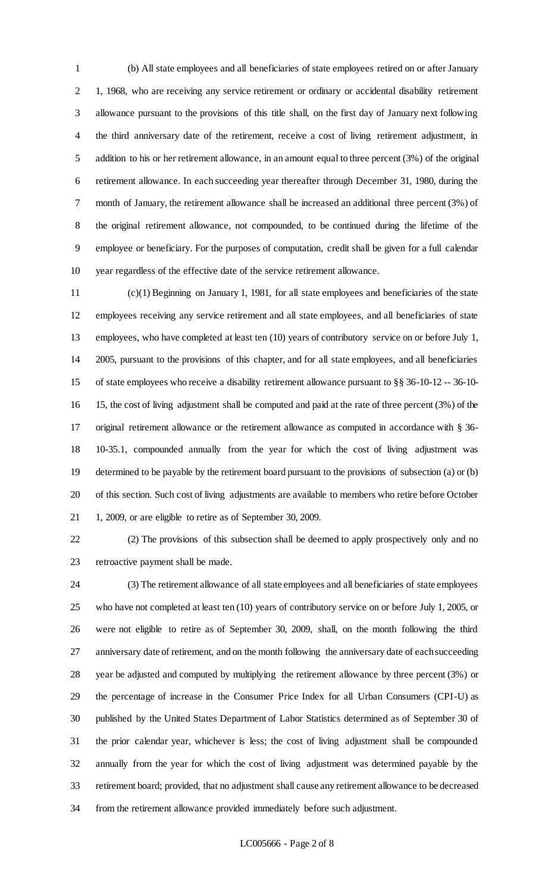(b) All state employees and all beneficiaries of state employees retired on or after January 1, 1968, who are receiving any service retirement or ordinary or accidental disability retirement allowance pursuant to the provisions of this title shall, on the first day of January next following the third anniversary date of the retirement, receive a cost of living retirement adjustment, in addition to his or her retirement allowance, in an amount equal to three percent (3%) of the original retirement allowance. In each succeeding year thereafter through December 31, 1980, during the month of January, the retirement allowance shall be increased an additional three percent (3%) of the original retirement allowance, not compounded, to be continued during the lifetime of the employee or beneficiary. For the purposes of computation, credit shall be given for a full calendar year regardless of the effective date of the service retirement allowance.

 (c)(1) Beginning on January 1, 1981, for all state employees and beneficiaries of the state employees receiving any service retirement and all state employees, and all beneficiaries of state employees, who have completed at least ten (10) years of contributory service on or before July 1, 2005, pursuant to the provisions of this chapter, and for all state employees, and all beneficiaries of state employees who receive a disability retirement allowance pursuant to §§ 36-10-12 -- 36-10- 15, the cost of living adjustment shall be computed and paid at the rate of three percent (3%) of the original retirement allowance or the retirement allowance as computed in accordance with § 36- 10-35.1, compounded annually from the year for which the cost of living adjustment was determined to be payable by the retirement board pursuant to the provisions of subsection (a) or (b) of this section. Such cost of living adjustments are available to members who retire before October 1, 2009, or are eligible to retire as of September 30, 2009.

 (2) The provisions of this subsection shall be deemed to apply prospectively only and no retroactive payment shall be made.

 (3) The retirement allowance of all state employees and all beneficiaries of state employees who have not completed at least ten (10) years of contributory service on or before July 1, 2005, or were not eligible to retire as of September 30, 2009, shall, on the month following the third anniversary date of retirement, and on the month following the anniversary date of each succeeding year be adjusted and computed by multiplying the retirement allowance by three percent (3%) or the percentage of increase in the Consumer Price Index for all Urban Consumers (CPI-U) as published by the United States Department of Labor Statistics determined as of September 30 of the prior calendar year, whichever is less; the cost of living adjustment shall be compounded annually from the year for which the cost of living adjustment was determined payable by the retirement board; provided, that no adjustment shall cause any retirement allowance to be decreased from the retirement allowance provided immediately before such adjustment.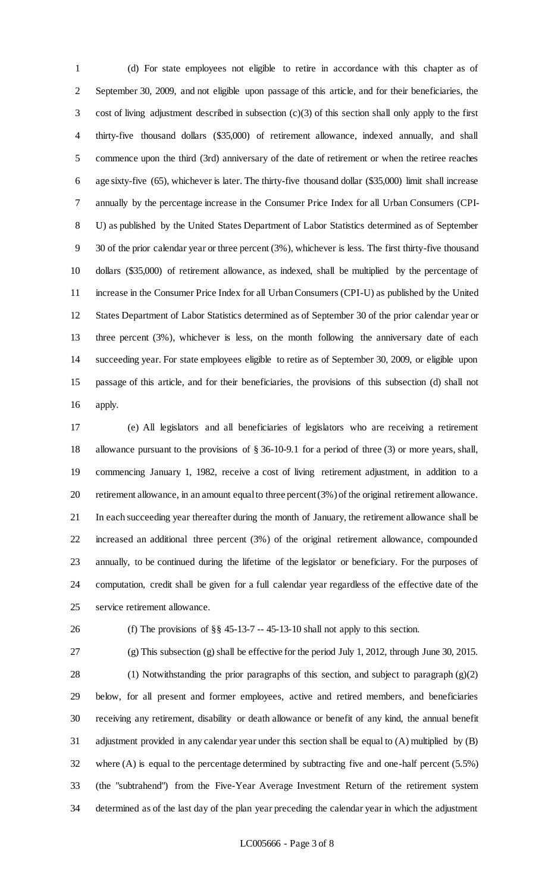(d) For state employees not eligible to retire in accordance with this chapter as of September 30, 2009, and not eligible upon passage of this article, and for their beneficiaries, the cost of living adjustment described in subsection (c)(3) of this section shall only apply to the first thirty-five thousand dollars (\$35,000) of retirement allowance, indexed annually, and shall commence upon the third (3rd) anniversary of the date of retirement or when the retiree reaches age sixty-five (65), whichever is later. The thirty-five thousand dollar (\$35,000) limit shall increase annually by the percentage increase in the Consumer Price Index for all Urban Consumers (CPI- U) as published by the United States Department of Labor Statistics determined as of September 30 of the prior calendar year or three percent (3%), whichever is less. The first thirty-five thousand dollars (\$35,000) of retirement allowance, as indexed, shall be multiplied by the percentage of increase in the Consumer Price Index for all Urban Consumers (CPI-U) as published by the United States Department of Labor Statistics determined as of September 30 of the prior calendar year or three percent (3%), whichever is less, on the month following the anniversary date of each succeeding year. For state employees eligible to retire as of September 30, 2009, or eligible upon passage of this article, and for their beneficiaries, the provisions of this subsection (d) shall not apply.

 (e) All legislators and all beneficiaries of legislators who are receiving a retirement allowance pursuant to the provisions of § 36-10-9.1 for a period of three (3) or more years, shall, commencing January 1, 1982, receive a cost of living retirement adjustment, in addition to a retirement allowance, in an amount equal to three percent (3%) of the original retirement allowance. In each succeeding year thereafter during the month of January, the retirement allowance shall be increased an additional three percent (3%) of the original retirement allowance, compounded annually, to be continued during the lifetime of the legislator or beneficiary. For the purposes of computation, credit shall be given for a full calendar year regardless of the effective date of the service retirement allowance.

(f) The provisions of §§ 45-13-7 -- 45-13-10 shall not apply to this section.

 (g) This subsection (g) shall be effective for the period July 1, 2012, through June 30, 2015. (1) Notwithstanding the prior paragraphs of this section, and subject to paragraph (g)(2) below, for all present and former employees, active and retired members, and beneficiaries receiving any retirement, disability or death allowance or benefit of any kind, the annual benefit adjustment provided in any calendar year under this section shall be equal to (A) multiplied by (B) where (A) is equal to the percentage determined by subtracting five and one-half percent (5.5%) (the "subtrahend") from the Five-Year Average Investment Return of the retirement system determined as of the last day of the plan year preceding the calendar year in which the adjustment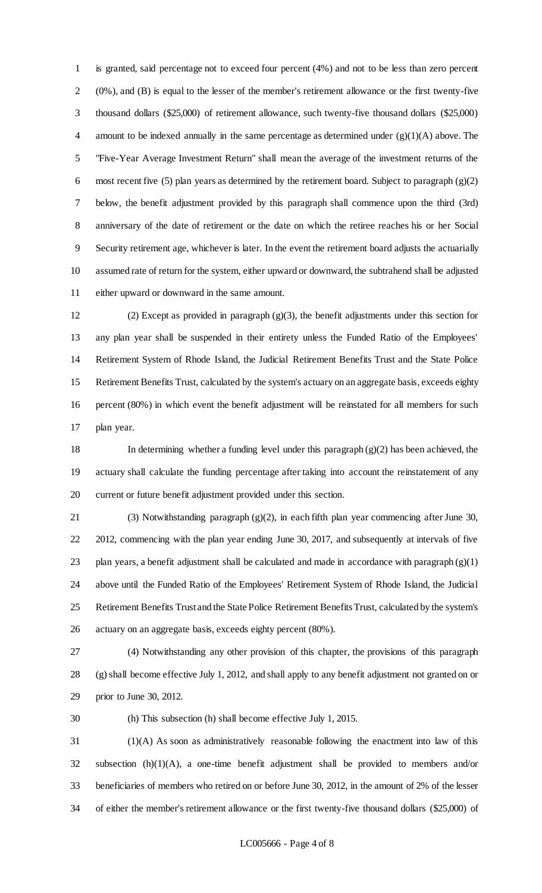is granted, said percentage not to exceed four percent (4%) and not to be less than zero percent (0%), and (B) is equal to the lesser of the member's retirement allowance or the first twenty-five thousand dollars (\$25,000) of retirement allowance, such twenty-five thousand dollars (\$25,000) amount to be indexed annually in the same percentage as determined under (g)(1)(A) above. The "Five-Year Average Investment Return" shall mean the average of the investment returns of the most recent five (5) plan years as determined by the retirement board. Subject to paragraph (g)(2) below, the benefit adjustment provided by this paragraph shall commence upon the third (3rd) anniversary of the date of retirement or the date on which the retiree reaches his or her Social Security retirement age, whichever is later. In the event the retirement board adjusts the actuarially assumed rate of return for the system, either upward or downward, the subtrahend shall be adjusted either upward or downward in the same amount.

 (2) Except as provided in paragraph (g)(3), the benefit adjustments under this section for any plan year shall be suspended in their entirety unless the Funded Ratio of the Employees' Retirement System of Rhode Island, the Judicial Retirement Benefits Trust and the State Police Retirement Benefits Trust, calculated by the system's actuary on an aggregate basis, exceeds eighty percent (80%) in which event the benefit adjustment will be reinstated for all members for such plan year.

 In determining whether a funding level under this paragraph (g)(2) has been achieved, the actuary shall calculate the funding percentage after taking into account the reinstatement of any current or future benefit adjustment provided under this section.

 (3) Notwithstanding paragraph (g)(2), in each fifth plan year commencing after June 30, 2012, commencing with the plan year ending June 30, 2017, and subsequently at intervals of five 23 plan years, a benefit adjustment shall be calculated and made in accordance with paragraph  $(g)(1)$  above until the Funded Ratio of the Employees' Retirement System of Rhode Island, the Judicial Retirement Benefits Trust and the State Police Retirement Benefits Trust, calculated by the system's actuary on an aggregate basis, exceeds eighty percent (80%).

 (4) Notwithstanding any other provision of this chapter, the provisions of this paragraph (g) shall become effective July 1, 2012, and shall apply to any benefit adjustment not granted on or prior to June 30, 2012.

(h) This subsection (h) shall become effective July 1, 2015.

 (1)(A) As soon as administratively reasonable following the enactment into law of this subsection (h)(1)(A), a one-time benefit adjustment shall be provided to members and/or beneficiaries of members who retired on or before June 30, 2012, in the amount of 2% of the lesser of either the member's retirement allowance or the first twenty-five thousand dollars (\$25,000) of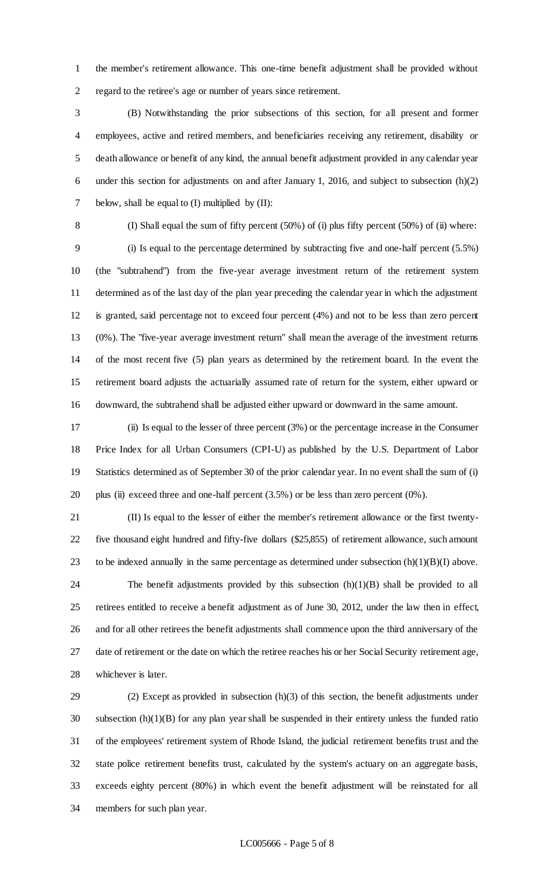the member's retirement allowance. This one-time benefit adjustment shall be provided without regard to the retiree's age or number of years since retirement.

 (B) Notwithstanding the prior subsections of this section, for all present and former employees, active and retired members, and beneficiaries receiving any retirement, disability or death allowance or benefit of any kind, the annual benefit adjustment provided in any calendar year under this section for adjustments on and after January 1, 2016, and subject to subsection (h)(2) 7 below, shall be equal to (I) multiplied by (II):

 (I) Shall equal the sum of fifty percent (50%) of (i) plus fifty percent (50%) of (ii) where: (i) Is equal to the percentage determined by subtracting five and one-half percent (5.5%) (the "subtrahend") from the five-year average investment return of the retirement system determined as of the last day of the plan year preceding the calendar year in which the adjustment is granted, said percentage not to exceed four percent (4%) and not to be less than zero percent (0%). The "five-year average investment return" shall mean the average of the investment returns of the most recent five (5) plan years as determined by the retirement board. In the event the retirement board adjusts the actuarially assumed rate of return for the system, either upward or downward, the subtrahend shall be adjusted either upward or downward in the same amount.

 (ii) Is equal to the lesser of three percent (3%) or the percentage increase in the Consumer Price Index for all Urban Consumers (CPI-U) as published by the U.S. Department of Labor Statistics determined as of September 30 of the prior calendar year. In no event shall the sum of (i) plus (ii) exceed three and one-half percent (3.5%) or be less than zero percent (0%).

 (II) Is equal to the lesser of either the member's retirement allowance or the first twenty- five thousand eight hundred and fifty-five dollars (\$25,855) of retirement allowance, such amount 23 to be indexed annually in the same percentage as determined under subsection  $(h)(1)(B)(I)$  above. The benefit adjustments provided by this subsection (h)(1)(B) shall be provided to all retirees entitled to receive a benefit adjustment as of June 30, 2012, under the law then in effect, and for all other retirees the benefit adjustments shall commence upon the third anniversary of the date of retirement or the date on which the retiree reaches his or her Social Security retirement age, whichever is later.

 (2) Except as provided in subsection (h)(3) of this section, the benefit adjustments under subsection (h)(1)(B) for any plan year shall be suspended in their entirety unless the funded ratio of the employees' retirement system of Rhode Island, the judicial retirement benefits trust and the state police retirement benefits trust, calculated by the system's actuary on an aggregate basis, exceeds eighty percent (80%) in which event the benefit adjustment will be reinstated for all members for such plan year.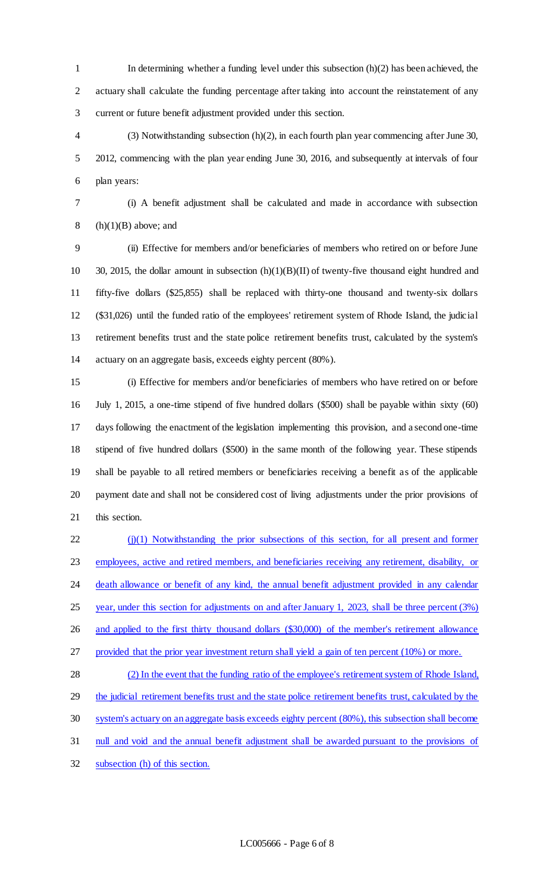In determining whether a funding level under this subsection (h)(2) has been achieved, the actuary shall calculate the funding percentage after taking into account the reinstatement of any current or future benefit adjustment provided under this section.

 (3) Notwithstanding subsection (h)(2), in each fourth plan year commencing after June 30, 2012, commencing with the plan year ending June 30, 2016, and subsequently at intervals of four plan years:

(i) A benefit adjustment shall be calculated and made in accordance with subsection

8 (h) $(1)(B)$  above; and

 (ii) Effective for members and/or beneficiaries of members who retired on or before June 30, 2015, the dollar amount in subsection (h)(1)(B)(II) of twenty-five thousand eight hundred and fifty-five dollars (\$25,855) shall be replaced with thirty-one thousand and twenty-six dollars (\$31,026) until the funded ratio of the employees' retirement system of Rhode Island, the judicial retirement benefits trust and the state police retirement benefits trust, calculated by the system's actuary on an aggregate basis, exceeds eighty percent (80%).

 (i) Effective for members and/or beneficiaries of members who have retired on or before July 1, 2015, a one-time stipend of five hundred dollars (\$500) shall be payable within sixty (60) days following the enactment of the legislation implementing this provision, and a second one-time stipend of five hundred dollars (\$500) in the same month of the following year. These stipends shall be payable to all retired members or beneficiaries receiving a benefit as of the applicable payment date and shall not be considered cost of living adjustments under the prior provisions of this section.

22 (j)(1) Notwithstanding the prior subsections of this section, for all present and former employees, active and retired members, and beneficiaries receiving any retirement, disability, or 24 death allowance or benefit of any kind, the annual benefit adjustment provided in any calendar 25 year, under this section for adjustments on and after January 1, 2023, shall be three percent (3%) and applied to the first thirty thousand dollars (\$30,000) of the member's retirement allowance provided that the prior year investment return shall yield a gain of ten percent (10%) or more. (2) In the event that the funding ratio of the employee's retirement system of Rhode Island,

29 the judicial retirement benefits trust and the state police retirement benefits trust, calculated by the system's actuary on an aggregate basis exceeds eighty percent (80%), this subsection shall become null and void and the annual benefit adjustment shall be awarded pursuant to the provisions of subsection (h) of this section.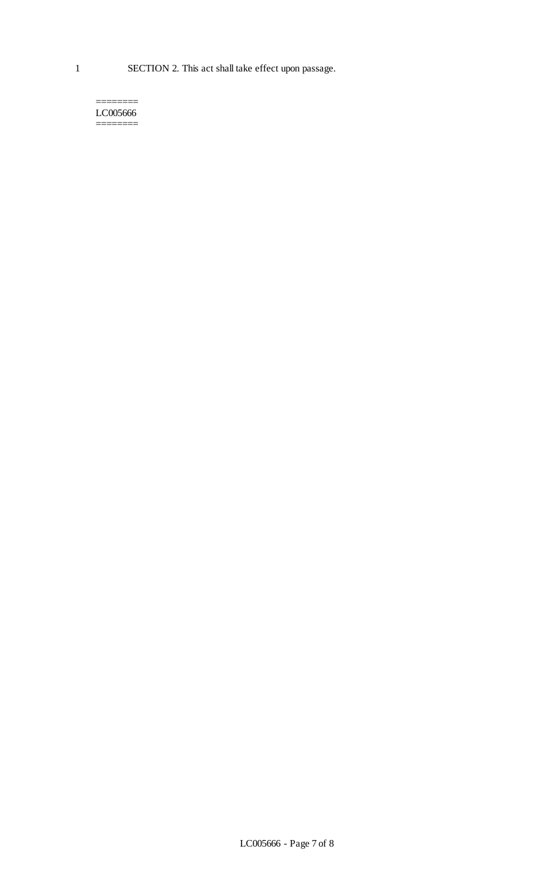======== LC005666 ========